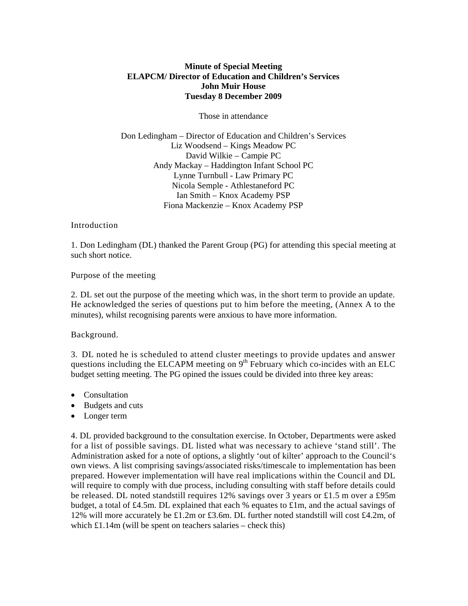### **Minute of Special Meeting ELAPCM/ Director of Education and Children's Services John Muir House Tuesday 8 December 2009**

Those in attendance

Don Ledingham – Director of Education and Children's Services Liz Woodsend – Kings Meadow PC David Wilkie – Campie PC Andy Mackay – Haddington Infant School PC Lynne Turnbull - Law Primary PC Nicola Semple - Athlestaneford PC Ian Smith – Knox Academy PSP Fiona Mackenzie – Knox Academy PSP

#### Introduction

1. Don Ledingham (DL) thanked the Parent Group (PG) for attending this special meeting at such short notice.

#### Purpose of the meeting

2. DL set out the purpose of the meeting which was, in the short term to provide an update. He acknowledged the series of questions put to him before the meeting, (Annex A to the minutes), whilst recognising parents were anxious to have more information.

#### Background.

3. DL noted he is scheduled to attend cluster meetings to provide updates and answer questions including the ELCAPM meeting on  $9<sup>th</sup>$  February which co-incides with an ELC budget setting meeting. The PG opined the issues could be divided into three key areas:

- Consultation
- Budgets and cuts
- Longer term

4. DL provided background to the consultation exercise. In October, Departments were asked for a list of possible savings. DL listed what was necessary to achieve 'stand still'. The Administration asked for a note of options, a slightly 'out of kilter' approach to the Council's own views. A list comprising savings/associated risks/timescale to implementation has been prepared. However implementation will have real implications within the Council and DL will require to comply with due process, including consulting with staff before details could be released. DL noted standstill requires 12% savings over 3 years or £1.5 m over a £95m budget, a total of £4.5m. DL explained that each % equates to £1m, and the actual savings of 12% will more accurately be £1.2m or £3.6m. DL further noted standstill will cost £4.2m, of which £1.14m (will be spent on teachers salaries – check this)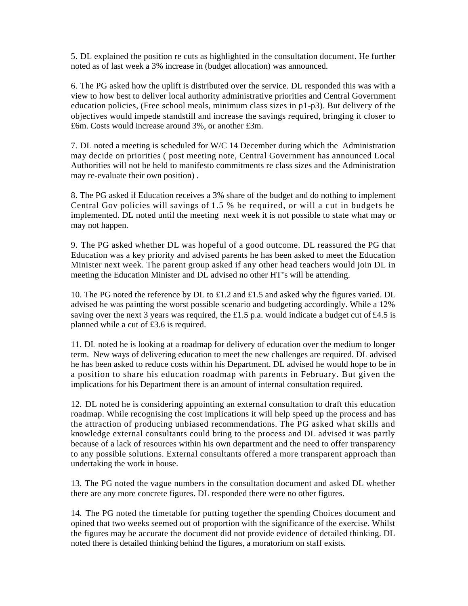5. DL explained the position re cuts as highlighted in the consultation document. He further noted as of last week a 3% increase in (budget allocation) was announced.

6. The PG asked how the uplift is distributed over the service. DL responded this was with a view to how best to deliver local authority administrative priorities and Central Government education policies, (Free school meals, minimum class sizes in p1-p3). But delivery of the objectives would impede standstill and increase the savings required, bringing it closer to £6m. Costs would increase around 3%, or another £3m.

7. DL noted a meeting is scheduled for W/C 14 December during which the Administration may decide on priorities ( post meeting note, Central Government has announced Local Authorities will not be held to manifesto commitments re class sizes and the Administration may re-evaluate their own position) .

8. The PG asked if Education receives a 3% share of the budget and do nothing to implement Central Gov policies will savings of 1.5 % be required, or will a cut in budgets be implemented. DL noted until the meeting next week it is not possible to state what may or may not happen.

9. The PG asked whether DL was hopeful of a good outcome. DL reassured the PG that Education was a key priority and advised parents he has been asked to meet the Education Minister next week. The parent group asked if any other head teachers would join DL in meeting the Education Minister and DL advised no other HT's will be attending.

10. The PG noted the reference by DL to £1.2 and £1.5 and asked why the figures varied. DL advised he was painting the worst possible scenario and budgeting accordingly. While a 12% saving over the next 3 years was required, the £1.5 p.a. would indicate a budget cut of £4.5 is planned while a cut of £3.6 is required.

11. DL noted he is looking at a roadmap for delivery of education over the medium to longer term. New ways of delivering education to meet the new challenges are required. DL advised he has been asked to reduce costs within his Department. DL advised he would hope to be in a position to share his education roadmap with parents in February. But given the implications for his Department there is an amount of internal consultation required.

12. DL noted he is considering appointing an external consultation to draft this education roadmap. While recognising the cost implications it will help speed up the process and has the attraction of producing unbiased recommendations. The PG asked what skills and knowledge external consultants could bring to the process and DL advised it was partly because of a lack of resources within his own department and the need to offer transparency to any possible solutions. External consultants offered a more transparent approach than undertaking the work in house.

13. The PG noted the vague numbers in the consultation document and asked DL whether there are any more concrete figures. DL responded there were no other figures.

14. The PG noted the timetable for putting together the spending Choices document and opined that two weeks seemed out of proportion with the significance of the exercise. Whilst the figures may be accurate the document did not provide evidence of detailed thinking. DL noted there is detailed thinking behind the figures, a moratorium on staff exists.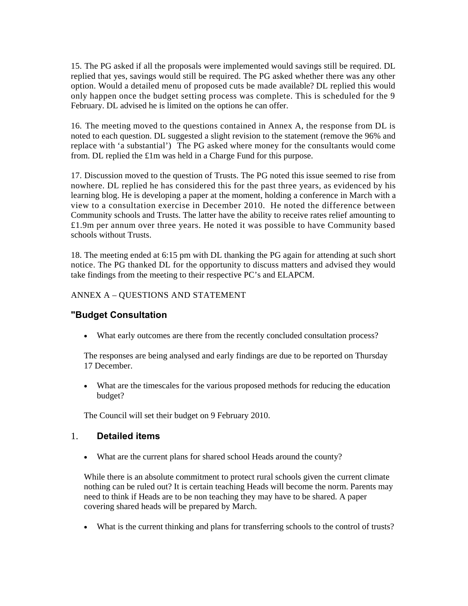15. The PG asked if all the proposals were implemented would savings still be required. DL replied that yes, savings would still be required. The PG asked whether there was any other option. Would a detailed menu of proposed cuts be made available? DL replied this would only happen once the budget setting process was complete. This is scheduled for the 9 February. DL advised he is limited on the options he can offer.

16. The meeting moved to the questions contained in Annex A, the response from DL is noted to each question. DL suggested a slight revision to the statement (remove the 96% and replace with 'a substantial') The PG asked where money for the consultants would come from. DL replied the £1m was held in a Charge Fund for this purpose.

17. Discussion moved to the question of Trusts. The PG noted this issue seemed to rise from nowhere. DL replied he has considered this for the past three years, as evidenced by his learning blog. He is developing a paper at the moment, holding a conference in March with a view to a consultation exercise in December 2010. He noted the difference between Community schools and Trusts. The latter have the ability to receive rates relief amounting to £1.9m per annum over three years. He noted it was possible to have Community based schools without Trusts.

18. The meeting ended at 6:15 pm with DL thanking the PG again for attending at such short notice. The PG thanked DL for the opportunity to discuss matters and advised they would take findings from the meeting to their respective PC's and ELAPCM.

#### ANNEX A – QUESTIONS AND STATEMENT

## **"Budget Consultation**

• What early outcomes are there from the recently concluded consultation process?

The responses are being analysed and early findings are due to be reported on Thursday 17 December.

• What are the timescales for the various proposed methods for reducing the education budget?

The Council will set their budget on 9 February 2010.

# 1. **Detailed items**

• What are the current plans for shared school Heads around the county?

While there is an absolute commitment to protect rural schools given the current climate nothing can be ruled out? It is certain teaching Heads will become the norm. Parents may need to think if Heads are to be non teaching they may have to be shared. A paper covering shared heads will be prepared by March.

• What is the current thinking and plans for transferring schools to the control of trusts?